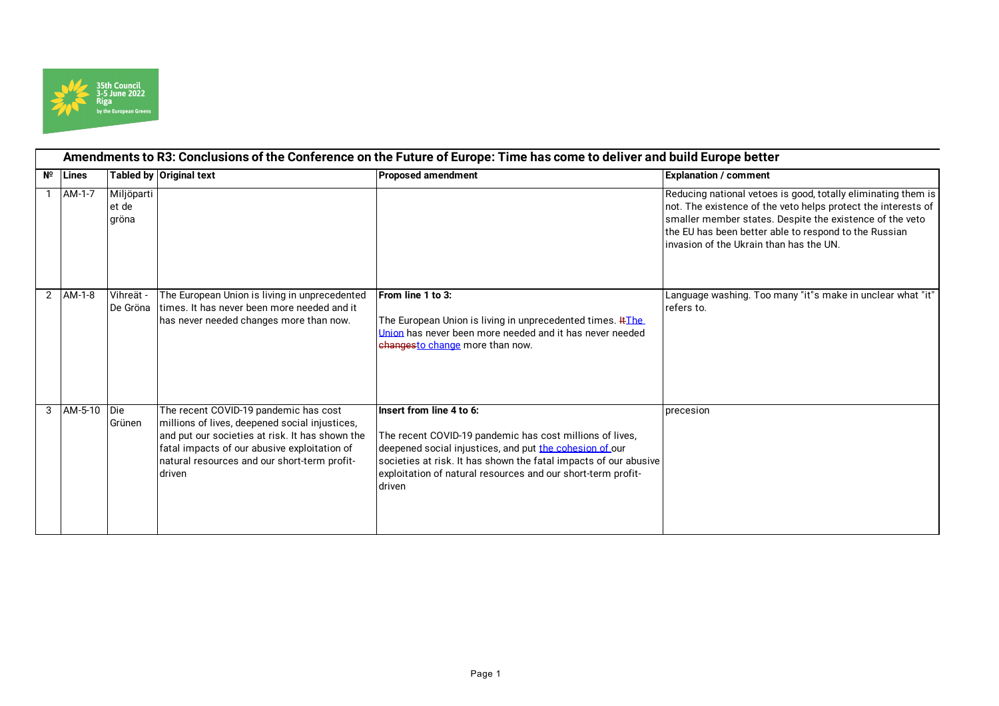

| Amendments to R3: Conclusions of the Conference on the Future of Europe: Time has come to deliver and build Europe better |                   |                              |                                                                                                                                                                                                                                                      |                                                                                                                                                                                                                                                                                                 |                                                                                                                                                                                                                                                                                                |
|---------------------------------------------------------------------------------------------------------------------------|-------------------|------------------------------|------------------------------------------------------------------------------------------------------------------------------------------------------------------------------------------------------------------------------------------------------|-------------------------------------------------------------------------------------------------------------------------------------------------------------------------------------------------------------------------------------------------------------------------------------------------|------------------------------------------------------------------------------------------------------------------------------------------------------------------------------------------------------------------------------------------------------------------------------------------------|
|                                                                                                                           | $N^{\circ}$ Lines |                              | Tabled by Original text                                                                                                                                                                                                                              | <b>Proposed amendment</b>                                                                                                                                                                                                                                                                       | <b>Explanation / comment</b>                                                                                                                                                                                                                                                                   |
|                                                                                                                           | AM-1-7            | Miljöparti<br>et de<br>gröna |                                                                                                                                                                                                                                                      |                                                                                                                                                                                                                                                                                                 | Reducing national vetoes is good, totally eliminating them is<br>not. The existence of the veto helps protect the interests of<br>smaller member states. Despite the existence of the veto<br>the EU has been better able to respond to the Russian<br>invasion of the Ukrain than has the UN. |
|                                                                                                                           | 2 AM-1-8          | Vihreät -<br>De Gröna        | The European Union is living in unprecedented<br>times. It has never been more needed and it<br>has never needed changes more than now.                                                                                                              | From line 1 to 3:<br>The European Union is living in unprecedented times. HThe<br>Union has never been more needed and it has never needed<br>changesto change more than now.                                                                                                                   | Language washing. Too many "it"s make in unclear what "it"<br>refers to.                                                                                                                                                                                                                       |
| 3                                                                                                                         | AM-5-10 Die       | Grünen                       | The recent COVID-19 pandemic has cost<br>millions of lives, deepened social injustices,<br>and put our societies at risk. It has shown the<br>fatal impacts of our abusive exploitation of<br>natural resources and our short-term profit-<br>driven | l Insert from line 4 to 6:<br>The recent COVID-19 pandemic has cost millions of lives,<br>deepened social injustices, and put the cohesion of our<br>societies at risk. It has shown the fatal impacts of our abusive<br>exploitation of natural resources and our short-term profit-<br>driven | precesion                                                                                                                                                                                                                                                                                      |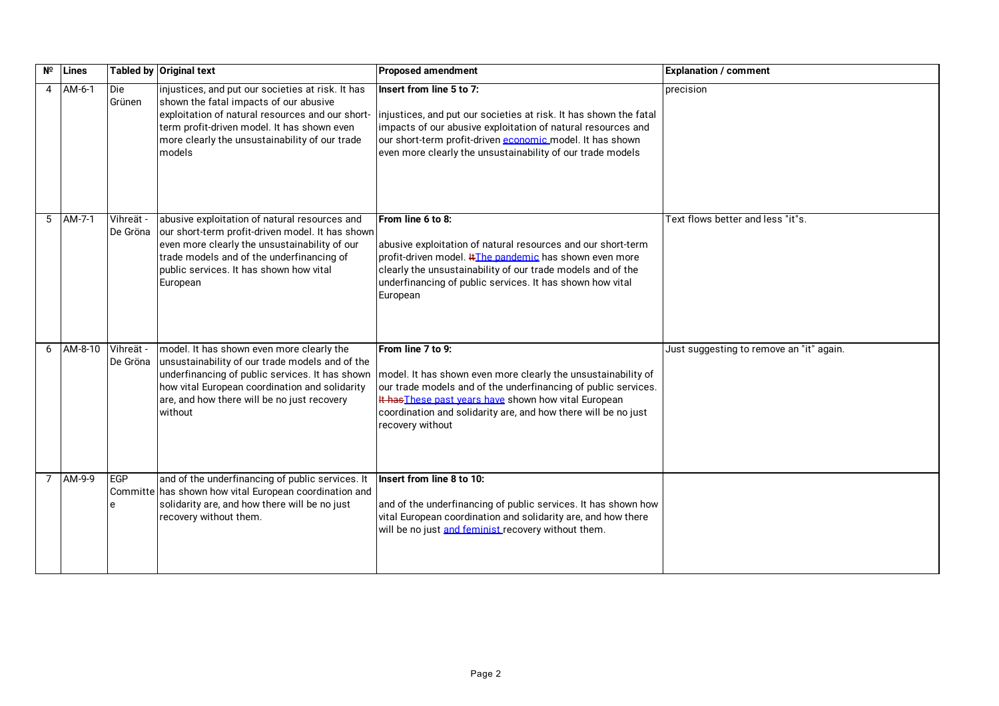| Nº | Lines     |                       | Tabled by Original text                                                                                                                                                                                                                                     | <b>Proposed amendment</b>                                                                                                                                                                                                                                                                           | <b>Explanation / comment</b>             |
|----|-----------|-----------------------|-------------------------------------------------------------------------------------------------------------------------------------------------------------------------------------------------------------------------------------------------------------|-----------------------------------------------------------------------------------------------------------------------------------------------------------------------------------------------------------------------------------------------------------------------------------------------------|------------------------------------------|
| 4  | AM-6-1    | Die<br>Grünen         | injustices, and put our societies at risk. It has<br>shown the fatal impacts of our abusive<br>exploitation of natural resources and our short-<br>term profit-driven model. It has shown even<br>more clearly the unsustainability of our trade<br>models  | Insert from line 5 to 7:<br>injustices, and put our societies at risk. It has shown the fatal<br>impacts of our abusive exploitation of natural resources and<br>our short-term profit-driven economic model. It has shown<br>even more clearly the unsustainability of our trade models            | precision                                |
|    | 5 AM-7-1  | Vihreät -<br>De Gröna | abusive exploitation of natural resources and<br>our short-term profit-driven model. It has shown<br>even more clearly the unsustainability of our<br>trade models and of the underfinancing of<br>public services. It has shown how vital<br>European      | From line 6 to 8:<br>abusive exploitation of natural resources and our short-term<br>profit-driven model. #The pandemic has shown even more<br>clearly the unsustainability of our trade models and of the<br>underfinancing of public services. It has shown how vital<br>European                 | Text flows better and less "it"s.        |
|    | 6 AM-8-10 | Vihreät -<br>De Gröna | model. It has shown even more clearly the<br>unsustainability of our trade models and of the<br>underfinancing of public services. It has shown<br>how vital European coordination and solidarity<br>are, and how there will be no just recovery<br>without | From line 7 to 9:<br>model. It has shown even more clearly the unsustainability of<br>our trade models and of the underfinancing of public services.<br>It has These past vears have shown how vital European<br>coordination and solidarity are, and how there will be no just<br>recovery without | Just suggesting to remove an "it" again. |
|    | 7 AM-9-9  | EGP<br>e              | and of the underfinancing of public services. It<br>Committe has shown how vital European coordination and<br>solidarity are, and how there will be no just<br>recovery without them.                                                                       | Insert from line 8 to 10:<br>and of the underfinancing of public services. It has shown how<br>vital European coordination and solidarity are, and how there<br>will be no just and feminist recovery without them.                                                                                 |                                          |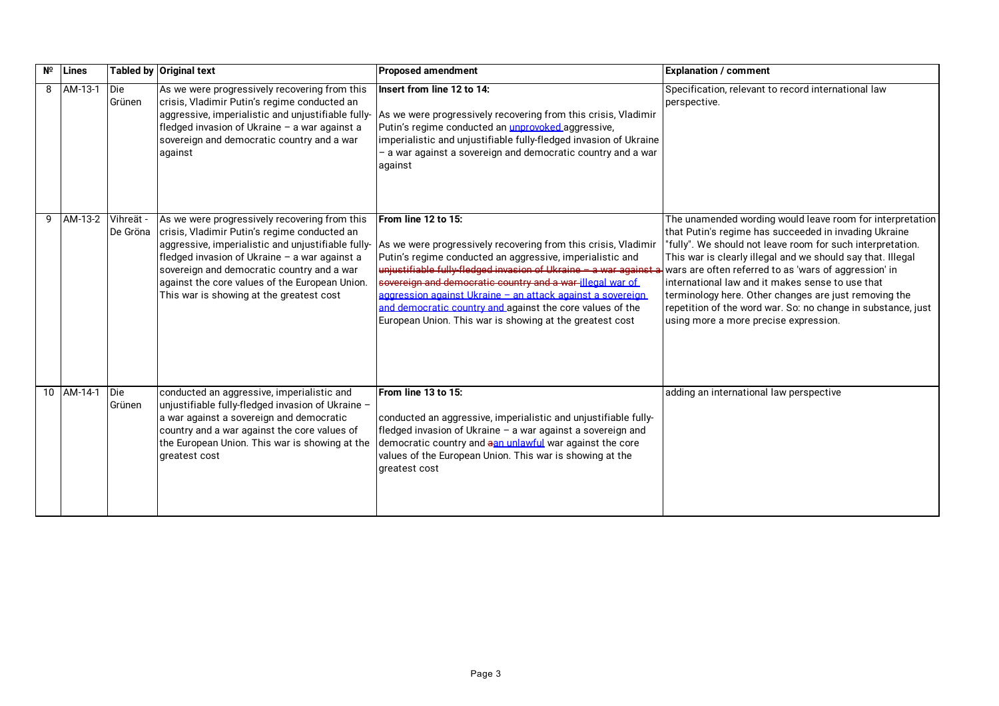| Nº | Lines             |                      | Tabled by Original text                                                                                                                                                                                                                                                                                                                          | <b>Proposed amendment</b>                                                                                                                                                                                                                                                                                                                                                                                                                                                   | <b>Explanation / comment</b>                                                                                                                                                                                                                                                                                                                                                                                                                                                                                                   |
|----|-------------------|----------------------|--------------------------------------------------------------------------------------------------------------------------------------------------------------------------------------------------------------------------------------------------------------------------------------------------------------------------------------------------|-----------------------------------------------------------------------------------------------------------------------------------------------------------------------------------------------------------------------------------------------------------------------------------------------------------------------------------------------------------------------------------------------------------------------------------------------------------------------------|--------------------------------------------------------------------------------------------------------------------------------------------------------------------------------------------------------------------------------------------------------------------------------------------------------------------------------------------------------------------------------------------------------------------------------------------------------------------------------------------------------------------------------|
| 8  | AM-13-1           | <b>Die</b><br>Grünen | As we were progressively recovering from this<br>crisis, Vladimir Putin's regime conducted an<br>aggressive, imperialistic and unjustifiable fully-<br>fledged invasion of Ukraine - a war against a<br>sovereign and democratic country and a war<br>against                                                                                    | Insert from line 12 to 14:<br>As we were progressively recovering from this crisis, Vladimir<br>Putin's regime conducted an <i>unprovoked</i> aggressive,<br>imperialistic and unjustifiable fully-fledged invasion of Ukraine<br>a war against a sovereign and democratic country and a war<br>against                                                                                                                                                                     | Specification, relevant to record international law<br>perspective.                                                                                                                                                                                                                                                                                                                                                                                                                                                            |
| 9  | AM-13-2 Vihreät - | De Gröna             | As we were progressively recovering from this<br>crisis, Vladimir Putin's regime conducted an<br>aggressive, imperialistic and unjustifiable fully-<br>fledged invasion of Ukraine - a war against a<br>sovereign and democratic country and a war<br>against the core values of the European Union.<br>This war is showing at the greatest cost | From line 12 to 15:<br>As we were progressively recovering from this crisis, Vladimir<br>Putin's regime conducted an aggressive, imperialistic and<br>unjustifiable fully-fledged invasion of Ukraine - a war against a<br>severeign and democratic country and a war-illegal war of<br>aggression against Ukraine - an attack against a sovereign<br>and democratic country and against the core values of the<br>European Union. This war is showing at the greatest cost | The unamended wording would leave room for interpretation<br>that Putin's regime has succeeded in invading Ukraine<br>"fully". We should not leave room for such interpretation.<br>This war is clearly illegal and we should say that. Illegal<br>wars are often referred to as 'wars of aggression' in<br>international law and it makes sense to use that<br>terminology here. Other changes are just removing the<br>repetition of the word war. So: no change in substance, just<br>using more a more precise expression. |
|    | 10 AM-14-1        | <b>Die</b><br>Grünen | conducted an aggressive, imperialistic and<br>unjustifiable fully-fledged invasion of Ukraine -<br>a war against a sovereign and democratic<br>country and a war against the core values of<br>the European Union. This war is showing at the<br>greatest cost                                                                                   | From line 13 to 15:<br>conducted an aggressive, imperialistic and unjustifiable fully-<br>fledged invasion of Ukraine - a war against a sovereign and<br>democratic country and aan unlawful war against the core<br>values of the European Union. This war is showing at the<br>greatest cost                                                                                                                                                                              | adding an international law perspective                                                                                                                                                                                                                                                                                                                                                                                                                                                                                        |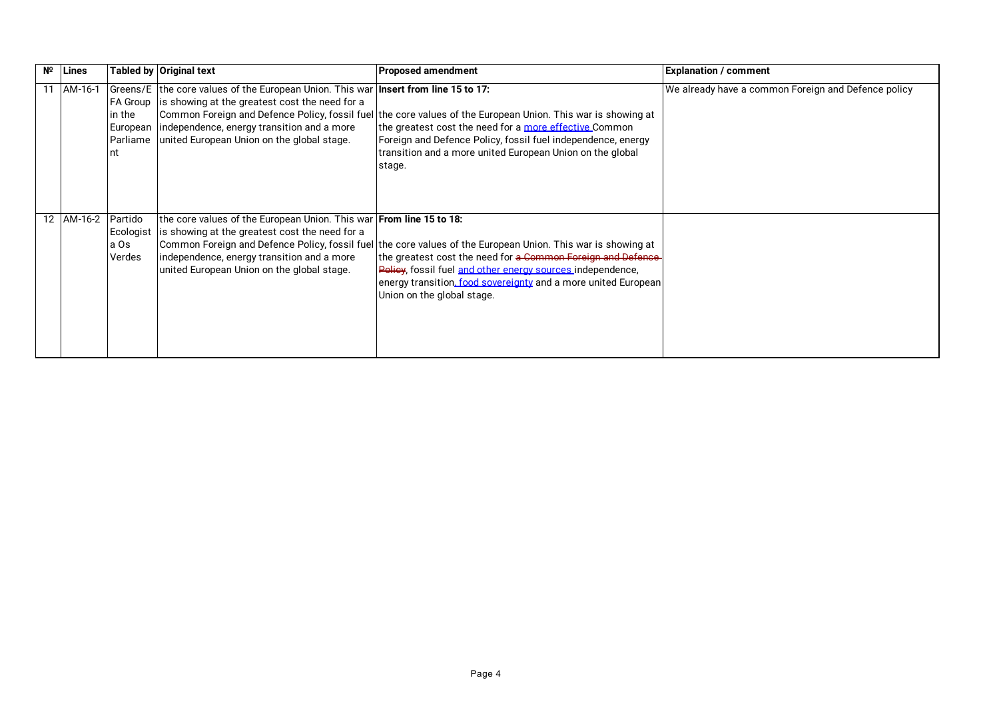| Nº. | Lines      |                                        | Tabled by Original text                                                                                                                                                                                                                                             | <b>Proposed amendment</b>                                                                                                                                                                                                                                                                                                                             | <b>Explanation / comment</b>                        |
|-----|------------|----------------------------------------|---------------------------------------------------------------------------------------------------------------------------------------------------------------------------------------------------------------------------------------------------------------------|-------------------------------------------------------------------------------------------------------------------------------------------------------------------------------------------------------------------------------------------------------------------------------------------------------------------------------------------------------|-----------------------------------------------------|
|     | AM-16-1    | in the                                 | Greens/E the core values of the European Union. This war <b>Insert from line 15 to 17:</b><br>FA Group is showing at the greatest cost the need for a<br>European independence, energy transition and a more<br>Parliame united European Union on the global stage. | Common Foreign and Defence Policy, fossil fuel the core values of the European Union. This war is showing at<br>the greatest cost the need for a more effective Common<br>Foreign and Defence Policy, fossil fuel independence, energy<br>transition and a more united European Union on the global<br>stage.                                         | We already have a common Foreign and Defence policy |
|     | 12 AM-16-2 | Partido<br>Ecologist<br>a Os<br>Verdes | the core values of the European Union. This war From line 15 to 18:<br>is showing at the greatest cost the need for a<br>independence, energy transition and a more<br>united European Union on the global stage.                                                   | Common Foreign and Defence Policy, fossil fuel the core values of the European Union. This war is showing at<br>the greatest cost the need for <del>a Common Foreign and Defence-</del><br>Policy, fossil fuel and other energy sources independence,<br>energy transition, food sovereignty and a more united European<br>Union on the global stage. |                                                     |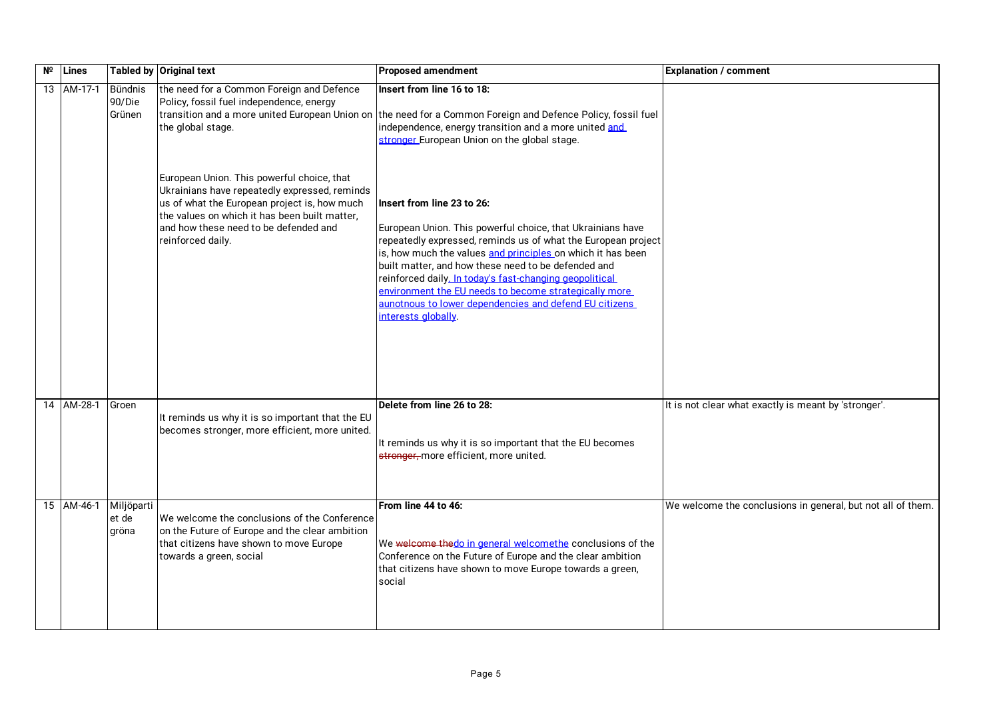| Nº | Lines      |                                    | <b>Tabled by Original text</b>                                                                                                                                                                                                                             | <b>Proposed amendment</b>                                                                                                                                                                                                                                                                                                                                                                                                                                                            | <b>Explanation / comment</b>                                |
|----|------------|------------------------------------|------------------------------------------------------------------------------------------------------------------------------------------------------------------------------------------------------------------------------------------------------------|--------------------------------------------------------------------------------------------------------------------------------------------------------------------------------------------------------------------------------------------------------------------------------------------------------------------------------------------------------------------------------------------------------------------------------------------------------------------------------------|-------------------------------------------------------------|
|    | 13 AM-17-1 | <b>Bündnis</b><br>90/Die<br>Grünen | the need for a Common Foreign and Defence<br>Policy, fossil fuel independence, energy<br>the global stage.                                                                                                                                                 | Insert from line 16 to 18:<br>transition and a more united European Union on the need for a Common Foreign and Defence Policy, fossil fuel<br>independence, energy transition and a more united and<br>stronger European Union on the global stage.                                                                                                                                                                                                                                  |                                                             |
|    |            |                                    | European Union. This powerful choice, that<br>Ukrainians have repeatedly expressed, reminds<br>us of what the European project is, how much<br>the values on which it has been built matter,<br>and how these need to be defended and<br>reinforced daily. | Insert from line 23 to 26:<br>European Union. This powerful choice, that Ukrainians have<br>repeatedly expressed, reminds us of what the European project<br>is, how much the values and principles on which it has been<br>built matter, and how these need to be defended and<br>reinforced daily. In today's fast-changing geopolitical<br>environment the EU needs to become strategically more<br>aunotnous to lower dependencies and defend EU citizens<br>interests alobally. |                                                             |
|    | 14 AM-28-1 | Groen                              | It reminds us why it is so important that the EU<br>becomes stronger, more efficient, more united.                                                                                                                                                         | Delete from line 26 to 28:<br>It reminds us why it is so important that the EU becomes<br>etronger, more efficient, more united.                                                                                                                                                                                                                                                                                                                                                     | It is not clear what exactly is meant by 'stronger'.        |
|    | 15 AM-46-1 | Miljöparti<br>et de<br>gröna       | We welcome the conclusions of the Conference<br>on the Future of Europe and the clear ambition<br>that citizens have shown to move Europe<br>towards a green, social                                                                                       | From line 44 to 46:<br>We welcome thedo in general welcomethe conclusions of the<br>Conference on the Future of Europe and the clear ambition<br>that citizens have shown to move Europe towards a green,<br>social                                                                                                                                                                                                                                                                  | We welcome the conclusions in general, but not all of them. |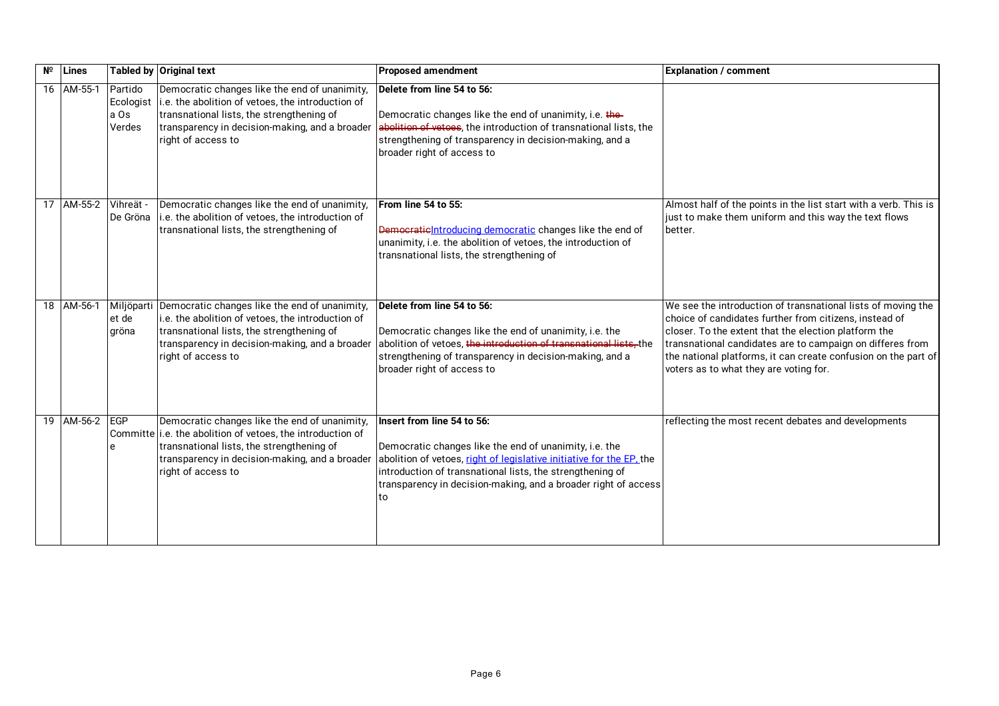| Nº | Lines          |                                        | <b>Tabled by Original text</b>                                                                                                                                                                                                     | <b>Proposed amendment</b>                                                                                                                                                                                                                                                                         | <b>Explanation / comment</b>                                                                                                                                                                                                                                                                                                                            |
|----|----------------|----------------------------------------|------------------------------------------------------------------------------------------------------------------------------------------------------------------------------------------------------------------------------------|---------------------------------------------------------------------------------------------------------------------------------------------------------------------------------------------------------------------------------------------------------------------------------------------------|---------------------------------------------------------------------------------------------------------------------------------------------------------------------------------------------------------------------------------------------------------------------------------------------------------------------------------------------------------|
|    | 16 AM-55-1     | Partido<br>Ecologist<br>a Os<br>Verdes | Democratic changes like the end of unanimity,<br>i.e. the abolition of vetoes, the introduction of<br>transnational lists, the strengthening of<br>transparency in decision-making, and a broader<br>right of access to            | Delete from line 54 to 56:<br>Democratic changes like the end of unanimity, i.e. the-<br>abolition of vetoes, the introduction of transnational lists, the<br>strengthening of transparency in decision-making, and a<br>broader right of access to                                               |                                                                                                                                                                                                                                                                                                                                                         |
|    | 17 AM-55-2     | Vihreät -<br>De Gröna                  | Democratic changes like the end of unanimity,<br>i.e. the abolition of vetoes, the introduction of<br>transnational lists, the strengthening of                                                                                    | From line 54 to 55:<br>Democrational roducing democratic changes like the end of<br>unanimity, i.e. the abolition of vetoes, the introduction of<br>transnational lists, the strengthening of                                                                                                     | Almost half of the points in the list start with a verb. This is<br>just to make them uniform and this way the text flows<br>better.                                                                                                                                                                                                                    |
|    | 18 AM-56-1     | et de<br>gröna                         | Miljöparti Democratic changes like the end of unanimity,<br>i.e. the abolition of vetoes, the introduction of<br>transnational lists, the strengthening of<br>transparency in decision-making, and a broader<br>right of access to | Delete from line 54 to 56:<br>Democratic changes like the end of unanimity, i.e. the<br>abolition of vetoes, the introduction of transnational lists, the<br>strengthening of transparency in decision-making, and a<br>broader right of access to                                                | We see the introduction of transnational lists of moving the<br>choice of candidates further from citizens, instead of<br>closer. To the extent that the election platform the<br>transnational candidates are to campaign on differes from<br>the national platforms, it can create confusion on the part of<br>voters as to what they are voting for. |
|    | 19 AM-56-2 EGP | e                                      | Democratic changes like the end of unanimity,<br>Committe i.e. the abolition of vetoes, the introduction of<br>transnational lists, the strengthening of<br>transparency in decision-making, and a broader<br>right of access to   | Insert from line 54 to 56:<br>Democratic changes like the end of unanimity, i.e. the<br>abolition of vetoes, right of legislative initiative for the EP, the<br>introduction of transnational lists, the strengthening of<br>transparency in decision-making, and a broader right of access<br>to | reflecting the most recent debates and developments                                                                                                                                                                                                                                                                                                     |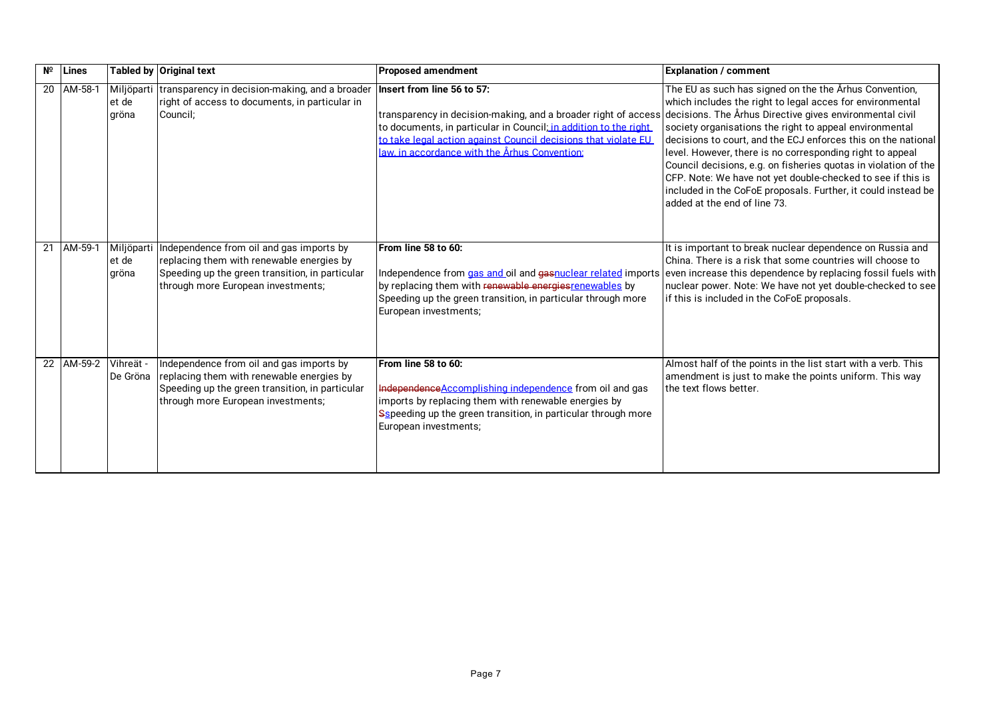| $N^{\circ}$ | Lines                |                              | Tabled by Original text                                                                                                                                                        | <b>Proposed amendment</b>                                                                                                                                                                                                                                                                                                                    | <b>Explanation / comment</b>                                                                                                                                                                                                                                                                                                                                                                                                                                                                                                                    |
|-------------|----------------------|------------------------------|--------------------------------------------------------------------------------------------------------------------------------------------------------------------------------|----------------------------------------------------------------------------------------------------------------------------------------------------------------------------------------------------------------------------------------------------------------------------------------------------------------------------------------------|-------------------------------------------------------------------------------------------------------------------------------------------------------------------------------------------------------------------------------------------------------------------------------------------------------------------------------------------------------------------------------------------------------------------------------------------------------------------------------------------------------------------------------------------------|
|             | 20 AM-58-1           | et de<br>gröna               | Miljöparti transparency in decision-making, and a broader<br>right of access to documents, in particular in<br>Council:                                                        | Insert from line 56 to 57:<br>transparency in decision-making, and a broader right of access decisions. The Århus Directive gives environmental civil<br>to documents, in particular in Council; in addition to the right<br>to take legal action against Council decisions that violate EU<br>law, in accordance with the Århus Convention: | The EU as such has signed on the the Arhus Convention,<br>which includes the right to legal acces for environmental<br>society organisations the right to appeal environmental<br>decisions to court, and the ECJ enforces this on the national<br>level. However, there is no corresponding right to appeal<br>Council decisions, e.g. on fisheries quotas in violation of the<br>CFP. Note: We have not yet double-checked to see if this is<br>included in the CoFoE proposals. Further, it could instead be<br>added at the end of line 73. |
|             | 21 AM-59-1           | Miljöparti<br>et de<br>gröna | Independence from oil and gas imports by<br>replacing them with renewable energies by<br>Speeding up the green transition, in particular<br>through more European investments; | From line 58 to 60:<br>Independence from gas and oil and gasnuclear related imports even increase this dependence by replacing fossil fuels with<br>by replacing them with renewable energies renewables by<br>Speeding up the green transition, in particular through more<br>European investments;                                         | It is important to break nuclear dependence on Russia and<br>China. There is a risk that some countries will choose to<br>nuclear power. Note: We have not yet double-checked to see<br>if this is included in the CoFoE proposals.                                                                                                                                                                                                                                                                                                             |
|             | 22 AM-59-2 Vihreät - | De Gröna                     | Independence from oil and gas imports by<br>replacing them with renewable energies by<br>Speeding up the green transition, in particular<br>through more European investments; | From line 58 to 60:<br>Independence Accomplishing independence from oil and gas<br>imports by replacing them with renewable energies by<br>Sspeeding up the green transition, in particular through more<br>European investments;                                                                                                            | Almost half of the points in the list start with a verb. This<br>amendment is just to make the points uniform. This way<br>the text flows better.                                                                                                                                                                                                                                                                                                                                                                                               |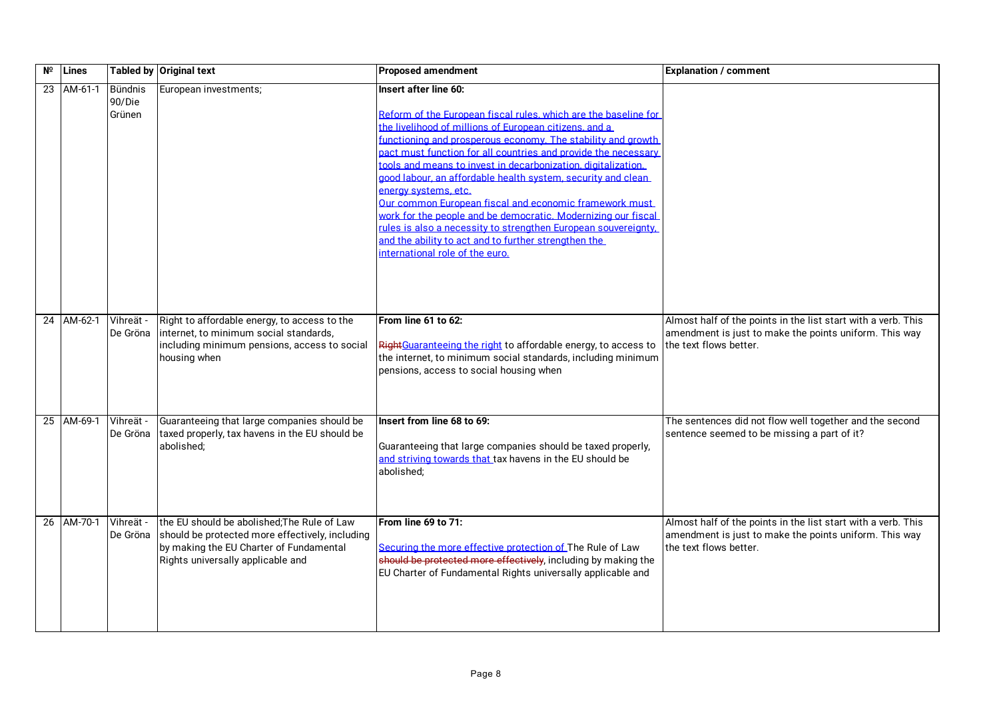| Nº | <b>Lines</b> |                                    | Tabled by Original text                                                                                                                                                        | <b>Proposed amendment</b>                                                                                                                                                                                                                                                                                                                                                                                                                                                                                                                                                                                                                                                                                                                  | <b>Explanation / comment</b>                                                                                                                      |
|----|--------------|------------------------------------|--------------------------------------------------------------------------------------------------------------------------------------------------------------------------------|--------------------------------------------------------------------------------------------------------------------------------------------------------------------------------------------------------------------------------------------------------------------------------------------------------------------------------------------------------------------------------------------------------------------------------------------------------------------------------------------------------------------------------------------------------------------------------------------------------------------------------------------------------------------------------------------------------------------------------------------|---------------------------------------------------------------------------------------------------------------------------------------------------|
| 23 | AM-61-1      | <b>Bündnis</b><br>90/Die<br>Grünen | European investments;                                                                                                                                                          | Insert after line 60:<br>Reform of the European fiscal rules, which are the baseline for<br>the livelihood of millions of European citizens, and a<br>functioning and prosperous economy. The stability and growth<br>pact must function for all countries and provide the necessary<br>.<br>tools and means to invest in decarbonization, digitalization.<br>good labour, an affordable health system, security and clean<br>energy systems, etc.<br>Our common European fiscal and economic framework must<br>work for the people and be democratic. Modernizing our fiscal<br>rules is also a necessity to strengthen European souvereignty.<br>and the ability to act and to further strengthen the<br>international role of the euro. |                                                                                                                                                   |
|    | 24 AM-62-1   | Vihreät -<br>De Gröna              | Right to affordable energy, to access to the<br>internet, to minimum social standards,<br>including minimum pensions, access to social<br>housing when                         | From line 61 to 62:<br>RightGuaranteeing the right to affordable energy, to access to<br>the internet, to minimum social standards, including minimum<br>pensions, access to social housing when                                                                                                                                                                                                                                                                                                                                                                                                                                                                                                                                           | Almost half of the points in the list start with a verb. This<br>amendment is just to make the points uniform. This way<br>the text flows better. |
|    | 25 AM-69-1   | Vihreät -<br>De Gröna              | Guaranteeing that large companies should be<br>taxed properly, tax havens in the EU should be<br>abolished;                                                                    | Insert from line 68 to 69:<br>Guaranteeing that large companies should be taxed properly,<br>and striving towards that tax havens in the EU should be<br>abolished;                                                                                                                                                                                                                                                                                                                                                                                                                                                                                                                                                                        | The sentences did not flow well together and the second<br>sentence seemed to be missing a part of it?                                            |
|    | 26 AM-70-1   | Vihreät -<br>De Gröna              | the EU should be abolished; The Rule of Law<br>should be protected more effectively, including<br>by making the EU Charter of Fundamental<br>Rights universally applicable and | From line 69 to 71:<br>Securing the more effective protection of The Rule of Law<br>should be protected more effectively, including by making the<br>EU Charter of Fundamental Rights universally applicable and                                                                                                                                                                                                                                                                                                                                                                                                                                                                                                                           | Almost half of the points in the list start with a verb. This<br>amendment is just to make the points uniform. This way<br>the text flows better. |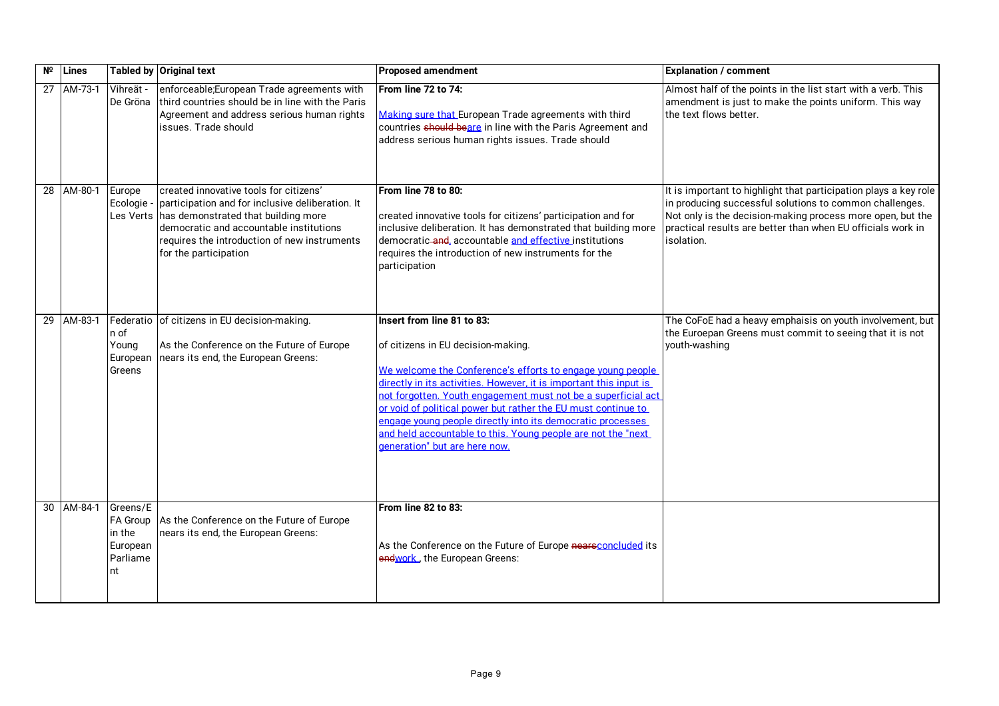| $N^{\circ}$ Lines |                                                                      | Tabled by Original text                                                                                                                                                                                                                               | <b>Proposed amendment</b>                                                                                                                                                                                                                                                                                                                                                                                                                                                                             | <b>Explanation / comment</b>                                                                                                                                                                                                                                           |
|-------------------|----------------------------------------------------------------------|-------------------------------------------------------------------------------------------------------------------------------------------------------------------------------------------------------------------------------------------------------|-------------------------------------------------------------------------------------------------------------------------------------------------------------------------------------------------------------------------------------------------------------------------------------------------------------------------------------------------------------------------------------------------------------------------------------------------------------------------------------------------------|------------------------------------------------------------------------------------------------------------------------------------------------------------------------------------------------------------------------------------------------------------------------|
| 27 AM-73-1        | Vihreät -<br>De Gröna                                                | enforceable;European Trade agreements with<br>third countries should be in line with the Paris<br>Agreement and address serious human rights<br>issues. Trade should                                                                                  | From line 72 to 74:<br>Making sure that European Trade agreements with third<br>countries should beare in line with the Paris Agreement and<br>address serious human rights issues. Trade should                                                                                                                                                                                                                                                                                                      | Almost half of the points in the list start with a verb. This<br>amendment is just to make the points uniform. This way<br>the text flows better.                                                                                                                      |
| 28 AM-80-1        | Europe<br>Ecologie -<br>Les Verts                                    | created innovative tools for citizens'<br>participation and for inclusive deliberation. It<br>has demonstrated that building more<br>democratic and accountable institutions<br>requires the introduction of new instruments<br>for the participation | From line 78 to 80:<br>created innovative tools for citizens' participation and for<br>inclusive deliberation. It has demonstrated that building more<br>democratic-and, accountable and effective institutions<br>requires the introduction of new instruments for the<br>participation                                                                                                                                                                                                              | It is important to highlight that participation plays a key role<br>in producing successful solutions to common challenges.<br>Not only is the decision-making process more open, but the<br>practical results are better than when EU officials work in<br>isolation. |
| 29 AM-83-1        | n of<br>Young<br>European<br>Greens                                  | Federatio of citizens in EU decision-making.<br>As the Conference on the Future of Europe<br>nears its end, the European Greens:                                                                                                                      | Insert from line 81 to 83:<br>of citizens in EU decision-making.<br>We welcome the Conference's efforts to engage young people<br>directly in its activities. However, it is important this input is<br>not forgotten. Youth engagement must not be a superficial act<br>or void of political power but rather the EU must continue to<br>engage voung people directly into its democratic processes<br>and held accountable to this. Young people are not the "next<br>deneration" but are here now. | The CoFoE had a heavy emphaisis on youth involvement, but<br>the Euroepan Greens must commit to seeing that it is not<br>youth-washing                                                                                                                                 |
| 30 AM-84-1        | Greens/E<br><b>FA Group</b><br>in the<br>European<br>Parliame<br>Int | As the Conference on the Future of Europe<br>nears its end, the European Greens:                                                                                                                                                                      | From line 82 to 83:<br>As the Conference on the Future of Europe nearsconcluded its<br>endwork, the European Greens:                                                                                                                                                                                                                                                                                                                                                                                  |                                                                                                                                                                                                                                                                        |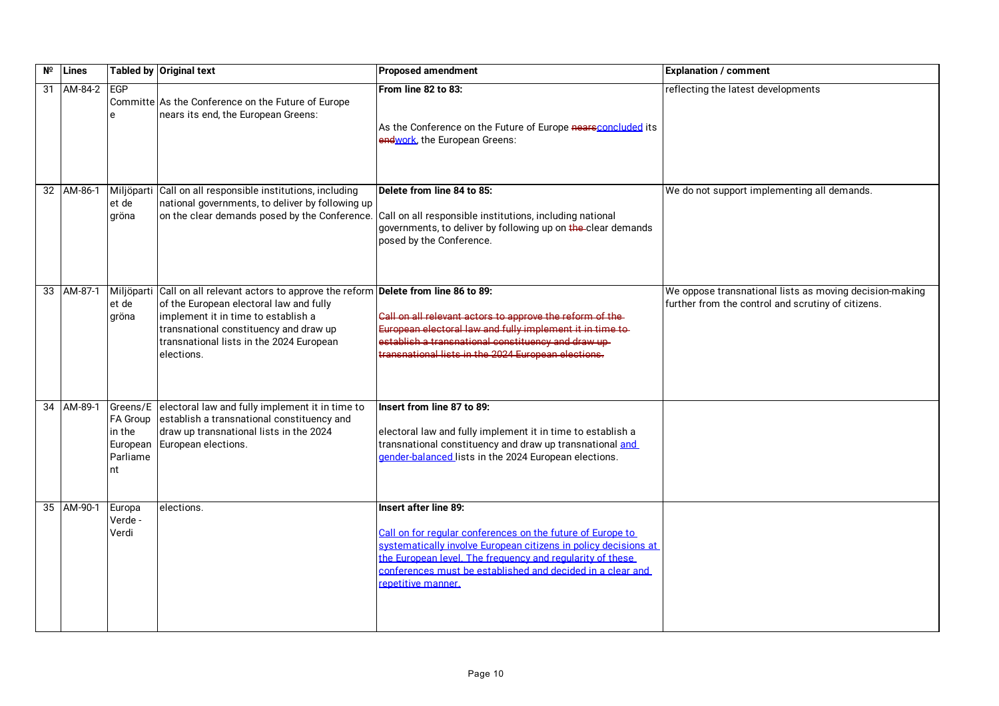| Nº | Lines      |                                                              | <b>Tabled by Original text</b>                                                                                                                                                                                                                                     | <b>Proposed amendment</b>                                                                                                                                                                                                                                                                               | <b>Explanation / comment</b>                                                                                  |
|----|------------|--------------------------------------------------------------|--------------------------------------------------------------------------------------------------------------------------------------------------------------------------------------------------------------------------------------------------------------------|---------------------------------------------------------------------------------------------------------------------------------------------------------------------------------------------------------------------------------------------------------------------------------------------------------|---------------------------------------------------------------------------------------------------------------|
|    | 31 AM-84-2 | <b>EGP</b>                                                   | Committe As the Conference on the Future of Europe<br>nears its end, the European Greens:                                                                                                                                                                          | From line 82 to 83:<br>As the Conference on the Future of Europe nearsconcluded its<br>endwork, the European Greens:                                                                                                                                                                                    | reflecting the latest developments                                                                            |
|    | 32 AM-86-1 | et de<br>gröna                                               | Miljöparti Call on all responsible institutions, including<br>national governments, to deliver by following up                                                                                                                                                     | Delete from line 84 to 85:<br>on the clear demands posed by the Conference. Call on all responsible institutions, including national<br>governments, to deliver by following up on the-clear demands<br>posed by the Conference.                                                                        | We do not support implementing all demands.                                                                   |
|    | 33 AM-87-1 | Miljöparti<br>et de<br>gröna                                 | Call on all relevant actors to approve the reform Delete from line 86 to 89:<br>of the European electoral law and fully<br>implement it in time to establish a<br>transnational constituency and draw up<br>transnational lists in the 2024 European<br>elections. | Call on all relevant actors to approve the reform of the-<br>European electoral law and fully implement it in time to-<br>establish a transnational constituency and draw up-<br>transnational lists in the 2024 European elections.                                                                    | We oppose transnational lists as moving decision-making<br>further from the control and scrutiny of citizens. |
|    | 34 AM-89-1 | Greens/E<br>FA Group<br>in the<br>European<br>Parliame<br>nt | electoral law and fully implement it in time to<br>establish a transnational constituency and<br>draw up transnational lists in the 2024<br>European elections.                                                                                                    | Insert from line 87 to 89:<br>electoral law and fully implement it in time to establish a<br>transnational constituency and draw up transnational and<br>gender-balanced lists in the 2024 European elections.                                                                                          |                                                                                                               |
|    | 35 AM-90-1 | Europa<br>Verde -<br>Verdi                                   | elections.                                                                                                                                                                                                                                                         | Insert after line 89:<br>Call on for regular conferences on the future of Europe to<br>systematically involve European citizens in policy decisions at<br>the European level. The frequency and regularity of these<br>conferences must be established and decided in a clear and<br>repetitive manner. |                                                                                                               |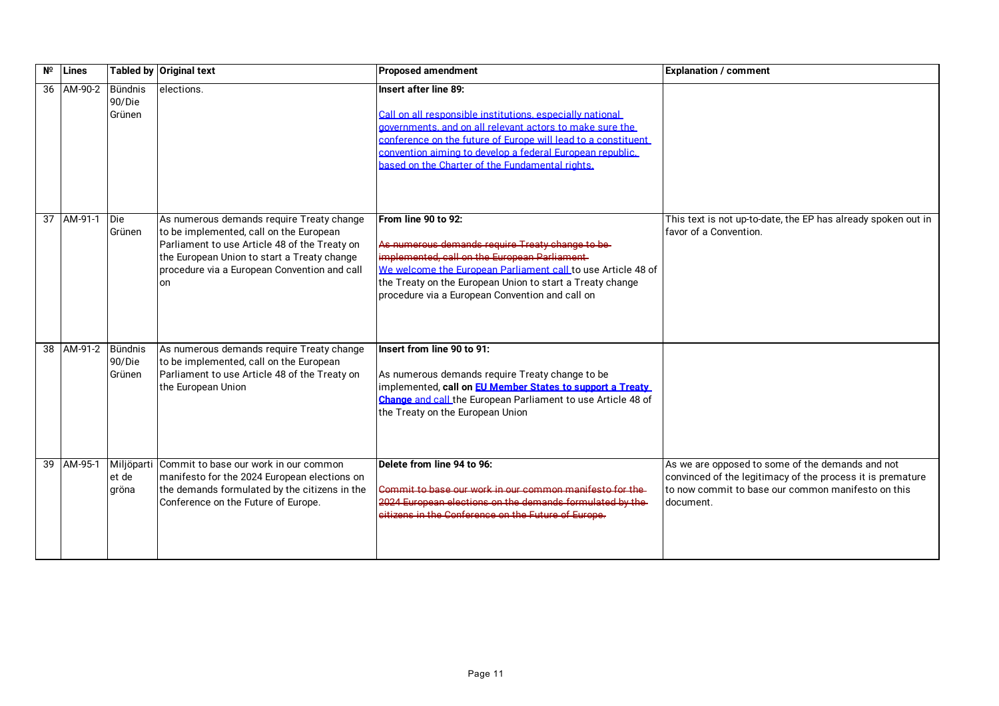| N <sup>o</sup> | Lines              |                              | <b>Tabled by Original text</b>                                                                                                                                                                                                             | <b>Proposed amendment</b>                                                                                                                                                                                                                                                                                                       | <b>Explanation / comment</b>                                                                                                                                                       |
|----------------|--------------------|------------------------------|--------------------------------------------------------------------------------------------------------------------------------------------------------------------------------------------------------------------------------------------|---------------------------------------------------------------------------------------------------------------------------------------------------------------------------------------------------------------------------------------------------------------------------------------------------------------------------------|------------------------------------------------------------------------------------------------------------------------------------------------------------------------------------|
|                | 36 AM-90-2         | Bündnis<br>90/Die<br>Grünen  | elections.                                                                                                                                                                                                                                 | Insert after line 89:<br>Call on all responsible institutions, especially national<br>aovernments, and on all relevant actors to make sure the<br>conference on the future of Europe will lead to a constituent<br>convention aiming to develop a federal European republic.<br>based on the Charter of the Fundamental rights. |                                                                                                                                                                                    |
|                | 37 AM-91-1 Die     | Grünen                       | As numerous demands require Treaty change<br>to be implemented, call on the European<br>Parliament to use Article 48 of the Treaty on<br>the European Union to start a Treaty change<br>procedure via a European Convention and call<br>on | From line 90 to 92:<br>As numerous demands require Treaty change to be-<br>implemented, call on the European Parliament<br>We welcome the European Parliament call to use Article 48 of<br>the Treaty on the European Union to start a Treaty change<br>procedure via a European Convention and call on                         | This text is not up-to-date, the EP has already spoken out in<br>favor of a Convention.                                                                                            |
|                | 38 AM-91-2 Bündnis | 90/Die<br>Grünen             | As numerous demands require Treaty change<br>to be implemented, call on the European<br>Parliament to use Article 48 of the Treaty on<br>the European Union                                                                                | Insert from line 90 to 91:<br>As numerous demands require Treaty change to be<br>implemented, call on EU Member States to support a Treaty<br>Change and call the European Parliament to use Article 48 of<br>the Treaty on the European Union                                                                                  |                                                                                                                                                                                    |
|                | 39 AM-95-1         | Miljöparti<br>et de<br>gröna | Commit to base our work in our common<br>manifesto for the 2024 European elections on<br>the demands formulated by the citizens in the<br>Conference on the Future of Europe.                                                              | Delete from line 94 to 96:<br>Commit to base our work in our common manifesto for the<br>2024 European elections on the demands formulated by the<br>eitizens in the Conference on the Future of Europe.                                                                                                                        | As we are opposed to some of the demands and not<br>convinced of the legitimacy of the process it is premature<br>Ito now commit to base our common manifesto on this<br>document. |